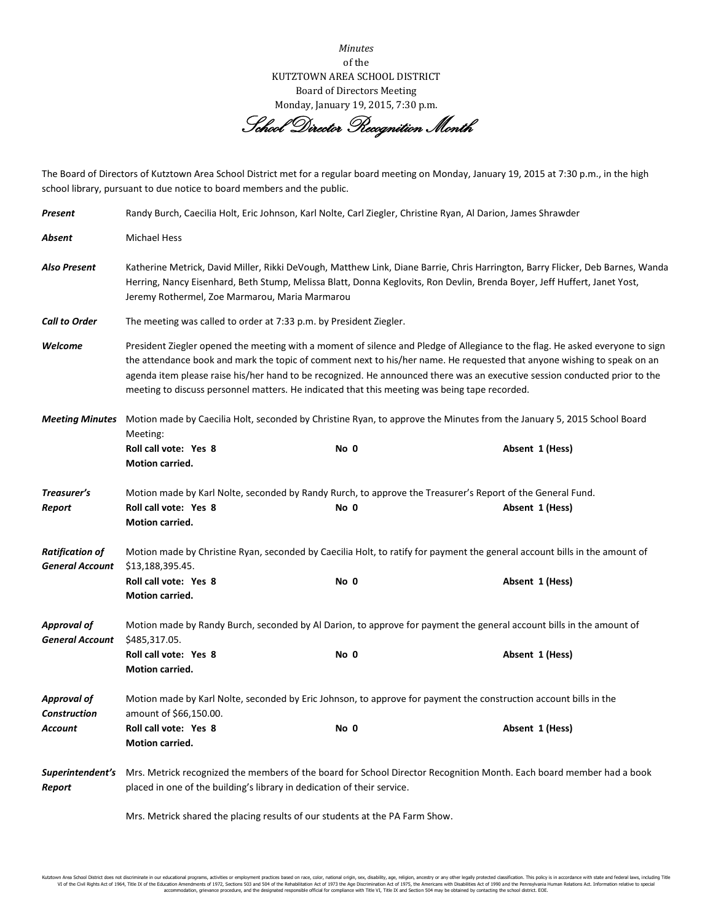*Minutes* of the KUTZTOWN AREA SCHOOL DISTRICT Board of Directors Meeting Monday, January 19, 2015, 7:30 p.m.

School Director Recognition Month

The Board of Directors of Kutztown Area School District met for a regular board meeting on Monday, January 19, 2015 at 7:30 p.m., in the high school library, pursuant to due notice to board members and the public.

| Present                                          | Randy Burch, Caecilia Holt, Eric Johnson, Karl Nolte, Carl Ziegler, Christine Ryan, Al Darion, James Shrawder                                                                                                                                                                                                                                                                                                                                                                           |      |                                                                                                                               |  |  |
|--------------------------------------------------|-----------------------------------------------------------------------------------------------------------------------------------------------------------------------------------------------------------------------------------------------------------------------------------------------------------------------------------------------------------------------------------------------------------------------------------------------------------------------------------------|------|-------------------------------------------------------------------------------------------------------------------------------|--|--|
| Absent                                           | <b>Michael Hess</b>                                                                                                                                                                                                                                                                                                                                                                                                                                                                     |      |                                                                                                                               |  |  |
| Also Present                                     | Katherine Metrick, David Miller, Rikki DeVough, Matthew Link, Diane Barrie, Chris Harrington, Barry Flicker, Deb Barnes, Wanda<br>Herring, Nancy Eisenhard, Beth Stump, Melissa Blatt, Donna Keglovits, Ron Devlin, Brenda Boyer, Jeff Huffert, Janet Yost,<br>Jeremy Rothermel, Zoe Marmarou, Maria Marmarou                                                                                                                                                                           |      |                                                                                                                               |  |  |
| <b>Call to Order</b>                             | The meeting was called to order at 7:33 p.m. by President Ziegler.                                                                                                                                                                                                                                                                                                                                                                                                                      |      |                                                                                                                               |  |  |
| Welcome                                          | President Ziegler opened the meeting with a moment of silence and Pledge of Allegiance to the flag. He asked everyone to sign<br>the attendance book and mark the topic of comment next to his/her name. He requested that anyone wishing to speak on an<br>agenda item please raise his/her hand to be recognized. He announced there was an executive session conducted prior to the<br>meeting to discuss personnel matters. He indicated that this meeting was being tape recorded. |      |                                                                                                                               |  |  |
| <b>Meeting Minutes</b>                           | Motion made by Caecilia Holt, seconded by Christine Ryan, to approve the Minutes from the January 5, 2015 School Board                                                                                                                                                                                                                                                                                                                                                                  |      |                                                                                                                               |  |  |
|                                                  | Meeting:<br>Roll call vote: Yes 8<br>Motion carried.                                                                                                                                                                                                                                                                                                                                                                                                                                    | No 0 | Absent 1 (Hess)                                                                                                               |  |  |
| Treasurer's<br>Report                            | Roll call vote: Yes 8<br>Motion carried.                                                                                                                                                                                                                                                                                                                                                                                                                                                | No 0 | Motion made by Karl Nolte, seconded by Randy Rurch, to approve the Treasurer's Report of the General Fund.<br>Absent 1 (Hess) |  |  |
| <b>Ratification of</b><br><b>General Account</b> | Motion made by Christine Ryan, seconded by Caecilia Holt, to ratify for payment the general account bills in the amount of<br>\$13,188,395.45.                                                                                                                                                                                                                                                                                                                                          |      |                                                                                                                               |  |  |
|                                                  | Roll call vote: Yes 8<br>Motion carried.                                                                                                                                                                                                                                                                                                                                                                                                                                                | No 0 | Absent 1 (Hess)                                                                                                               |  |  |
| <b>Approval of</b><br><b>General Account</b>     | Motion made by Randy Burch, seconded by Al Darion, to approve for payment the general account bills in the amount of<br>\$485,317.05.                                                                                                                                                                                                                                                                                                                                                   |      |                                                                                                                               |  |  |
|                                                  | Roll call vote: Yes 8<br>Motion carried.                                                                                                                                                                                                                                                                                                                                                                                                                                                | No 0 | Absent 1 (Hess)                                                                                                               |  |  |
| <b>Approval of</b><br><b>Construction</b>        | Motion made by Karl Nolte, seconded by Eric Johnson, to approve for payment the construction account bills in the<br>amount of \$66,150.00.                                                                                                                                                                                                                                                                                                                                             |      |                                                                                                                               |  |  |
| Account                                          | Roll call vote: Yes 8<br>Motion carried.                                                                                                                                                                                                                                                                                                                                                                                                                                                | No 0 | Absent 1 (Hess)                                                                                                               |  |  |
| Superintendent's<br>Report                       | Mrs. Metrick recognized the members of the board for School Director Recognition Month. Each board member had a book<br>placed in one of the building's library in dedication of their service.<br>Mrs. Metrick shared the placing results of our students at the PA Farm Show.                                                                                                                                                                                                         |      |                                                                                                                               |  |  |
|                                                  |                                                                                                                                                                                                                                                                                                                                                                                                                                                                                         |      |                                                                                                                               |  |  |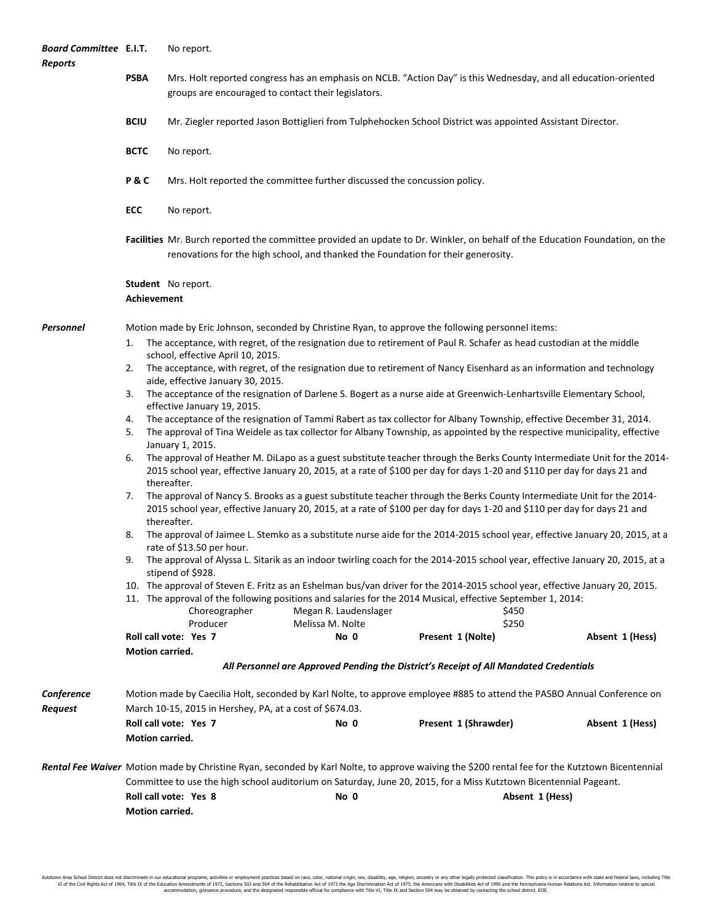| <b>Board Committee E.I.T.</b><br><b>Reports</b> |                                                                                                                                                                                     | No report.                                                                                                                                                                                                                                                          |                                                                                                                                      |                      |                 |  |  |
|-------------------------------------------------|-------------------------------------------------------------------------------------------------------------------------------------------------------------------------------------|---------------------------------------------------------------------------------------------------------------------------------------------------------------------------------------------------------------------------------------------------------------------|--------------------------------------------------------------------------------------------------------------------------------------|----------------------|-----------------|--|--|
|                                                 | <b>PSBA</b>                                                                                                                                                                         | Mrs. Holt reported congress has an emphasis on NCLB. "Action Day" is this Wednesday, and all education-oriented<br>groups are encouraged to contact their legislators.                                                                                              |                                                                                                                                      |                      |                 |  |  |
|                                                 | <b>BCIU</b>                                                                                                                                                                         |                                                                                                                                                                                                                                                                     | Mr. Ziegler reported Jason Bottiglieri from Tulphehocken School District was appointed Assistant Director.                           |                      |                 |  |  |
|                                                 | <b>BCTC</b>                                                                                                                                                                         | No report.                                                                                                                                                                                                                                                          |                                                                                                                                      |                      |                 |  |  |
|                                                 | P&C                                                                                                                                                                                 |                                                                                                                                                                                                                                                                     | Mrs. Holt reported the committee further discussed the concussion policy.                                                            |                      |                 |  |  |
|                                                 | ECC                                                                                                                                                                                 | No report.                                                                                                                                                                                                                                                          |                                                                                                                                      |                      |                 |  |  |
|                                                 |                                                                                                                                                                                     | Facilities Mr. Burch reported the committee provided an update to Dr. Winkler, on behalf of the Education Foundation, on the<br>renovations for the high school, and thanked the Foundation for their generosity.                                                   |                                                                                                                                      |                      |                 |  |  |
|                                                 | Student No report.<br>Achievement                                                                                                                                                   |                                                                                                                                                                                                                                                                     |                                                                                                                                      |                      |                 |  |  |
| Personnel                                       | Motion made by Eric Johnson, seconded by Christine Ryan, to approve the following personnel items:                                                                                  |                                                                                                                                                                                                                                                                     |                                                                                                                                      |                      |                 |  |  |
|                                                 | 1.                                                                                                                                                                                  | The acceptance, with regret, of the resignation due to retirement of Paul R. Schafer as head custodian at the middle<br>school, effective April 10, 2015.                                                                                                           |                                                                                                                                      |                      |                 |  |  |
|                                                 | 2.                                                                                                                                                                                  | The acceptance, with regret, of the resignation due to retirement of Nancy Eisenhard as an information and technology<br>aide, effective January 30, 2015.                                                                                                          |                                                                                                                                      |                      |                 |  |  |
|                                                 | 3.<br>The acceptance of the resignation of Darlene S. Bogert as a nurse aide at Greenwich-Lenhartsville Elementary School,                                                          |                                                                                                                                                                                                                                                                     |                                                                                                                                      |                      |                 |  |  |
|                                                 | effective January 19, 2015.<br>The acceptance of the resignation of Tammi Rabert as tax collector for Albany Township, effective December 31, 2014.<br>4.                           |                                                                                                                                                                                                                                                                     |                                                                                                                                      |                      |                 |  |  |
|                                                 | 5.                                                                                                                                                                                  | The approval of Tina Weidele as tax collector for Albany Township, as appointed by the respective municipality, effective<br>January 1, 2015.                                                                                                                       |                                                                                                                                      |                      |                 |  |  |
|                                                 | 6.                                                                                                                                                                                  | The approval of Heather M. DiLapo as a guest substitute teacher through the Berks County Intermediate Unit for the 2014-<br>2015 school year, effective January 20, 2015, at a rate of \$100 per day for days 1-20 and \$110 per day for days 21 and<br>thereafter. |                                                                                                                                      |                      |                 |  |  |
|                                                 | 7.                                                                                                                                                                                  | The approval of Nancy S. Brooks as a guest substitute teacher through the Berks County Intermediate Unit for the 2014-<br>2015 school year, effective January 20, 2015, at a rate of \$100 per day for days 1-20 and \$110 per day for days 21 and<br>thereafter.   |                                                                                                                                      |                      |                 |  |  |
|                                                 | 8.                                                                                                                                                                                  | The approval of Jaimee L. Stemko as a substitute nurse aide for the 2014-2015 school year, effective January 20, 2015, at a<br>rate of \$13.50 per hour.                                                                                                            |                                                                                                                                      |                      |                 |  |  |
|                                                 | 9.                                                                                                                                                                                  | The approval of Alyssa L. Sitarik as an indoor twirling coach for the 2014-2015 school year, effective January 20, 2015, at a<br>stipend of \$928.                                                                                                                  |                                                                                                                                      |                      |                 |  |  |
|                                                 |                                                                                                                                                                                     | 10. The approval of Steven E. Fritz as an Eshelman bus/van driver for the 2014-2015 school year, effective January 20, 2015.                                                                                                                                        |                                                                                                                                      |                      |                 |  |  |
|                                                 |                                                                                                                                                                                     | Choreographer                                                                                                                                                                                                                                                       | 11. The approval of the following positions and salaries for the 2014 Musical, effective September 1, 2014:<br>Megan R. Laudenslager | \$450                |                 |  |  |
|                                                 |                                                                                                                                                                                     | Producer                                                                                                                                                                                                                                                            | Melissa M. Nolte                                                                                                                     | \$250                |                 |  |  |
|                                                 |                                                                                                                                                                                     | Roll call vote: Yes 7                                                                                                                                                                                                                                               | No 0                                                                                                                                 | Present 1 (Nolte)    | Absent 1 (Hess) |  |  |
|                                                 | Motion carried.                                                                                                                                                                     |                                                                                                                                                                                                                                                                     | All Personnel are Approved Pending the District's Receipt of All Mandated Credentials                                                |                      |                 |  |  |
| Conference<br>Request                           | Motion made by Caecilia Holt, seconded by Karl Nolte, to approve employee #885 to attend the PASBO Annual Conference on<br>March 10-15, 2015 in Hershey, PA, at a cost of \$674.03. |                                                                                                                                                                                                                                                                     |                                                                                                                                      |                      |                 |  |  |
|                                                 | Motion carried.                                                                                                                                                                     | Roll call vote: Yes 7                                                                                                                                                                                                                                               | No 0                                                                                                                                 | Present 1 (Shrawder) | Absent 1 (Hess) |  |  |
|                                                 | Rental Fee Waiver Motion made by Christine Ryan, seconded by Karl Nolte, to approve waiving the \$200 rental fee for the Kutztown Bicentennial                                      |                                                                                                                                                                                                                                                                     |                                                                                                                                      |                      |                 |  |  |
|                                                 | Committee to use the high school auditorium on Saturday, June 20, 2015, for a Miss Kutztown Bicentennial Pageant.<br>Roll call vote: Yes 8<br>No 0<br>Absent 1 (Hess)               |                                                                                                                                                                                                                                                                     |                                                                                                                                      |                      |                 |  |  |
|                                                 | Motion carried.                                                                                                                                                                     |                                                                                                                                                                                                                                                                     |                                                                                                                                      |                      |                 |  |  |
|                                                 |                                                                                                                                                                                     |                                                                                                                                                                                                                                                                     |                                                                                                                                      |                      |                 |  |  |

Kutztown Area School District does not discriminate in our educational programs, activities or employment practices based on race, color, national origin, sex, disability, age, religion, ancestry or any other leally prote